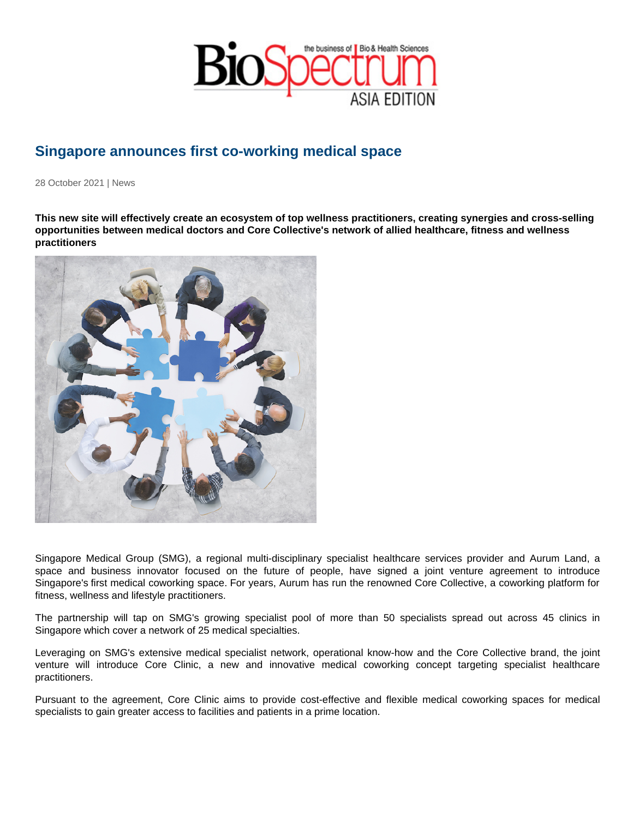## Singapore announces first co-working medical space

28 October 2021 | News

This new site will effectively create an ecosystem of top wellness practitioners, creating synergies and cross-selling opportunities between medical doctors and Core Collective's network of allied healthcare, fitness and wellness practitioners

Singapore Medical Group (SMG), a regional multi-disciplinary specialist healthcare services provider and Aurum Land, a space and business innovator focused on the future of people, have signed a joint venture agreement to introduce Singapore's first medical coworking space. For years, Aurum has run the renowned Core Collective, a coworking platform for fitness, wellness and lifestyle practitioners.

The partnership will tap on SMG's growing specialist pool of more than 50 specialists spread out across 45 clinics in Singapore which cover a network of 25 medical specialties.

Leveraging on SMG's extensive medical specialist network, operational know-how and the Core Collective brand, the joint venture will introduce Core Clinic, a new and innovative medical coworking concept targeting specialist healthcare practitioners.

Pursuant to the agreement, Core Clinic aims to provide cost-effective and flexible medical coworking spaces for medical specialists to gain greater access to facilities and patients in a prime location.